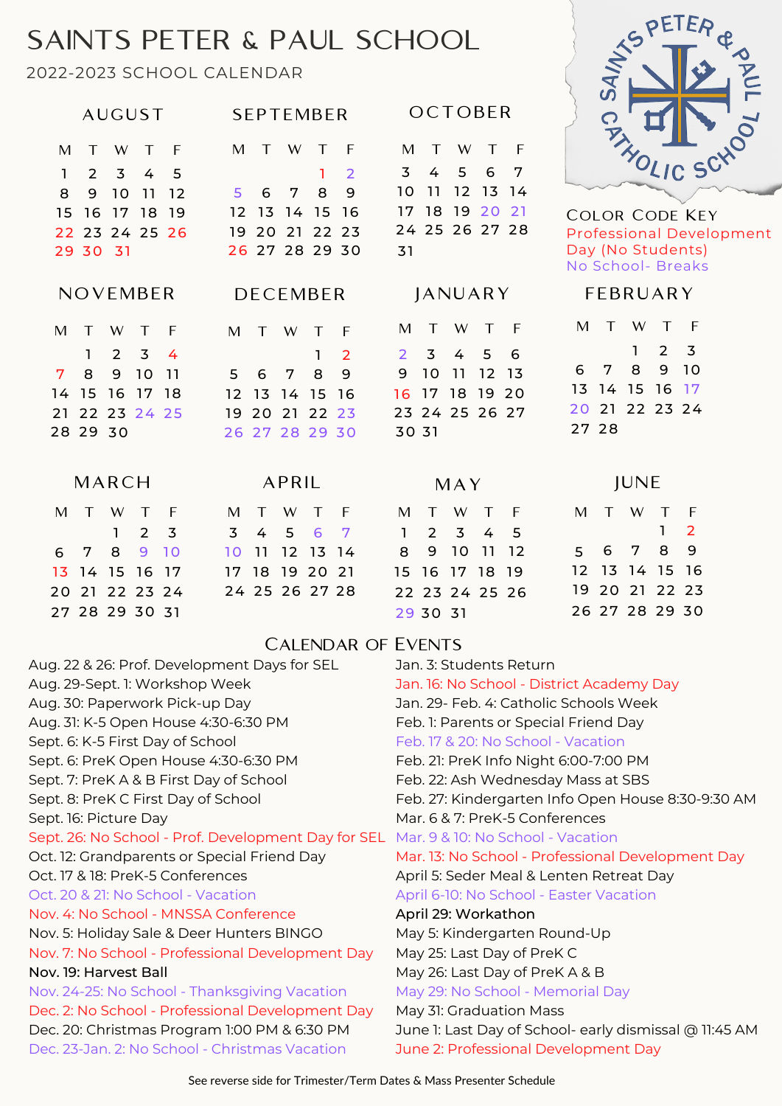## SAINTS PETER & PAUL SCHOOL

2022-2023 SCHOOL CALENDAR



Color Code Key Professional Development Day (No Students) No School- Breaks

| 20 21 22 23 24 | 24 25 26 27 28 | 22 23 24 25 26 | 19 20 21 22 23 |
|----------------|----------------|----------------|----------------|
| 27 28 29 30 31 |                | 29 30 31       | 26 27 28 29 30 |

## F EBRUAR Y

| M     | $\top$ W T     |      |     | ⊦    |
|-------|----------------|------|-----|------|
|       |                | T 11 | 2 3 |      |
|       | 6 7 8          |      |     | 9 10 |
|       | 13 14 15 16 17 |      |     |      |
|       | 20 21 22 23 24 |      |     |      |
| 27 28 |                |      |     |      |

| <b>JUNE</b> |   |         |  |                |  |
|-------------|---|---------|--|----------------|--|
|             |   | M T W T |  | F              |  |
|             |   |         |  | 2 <sup>1</sup> |  |
| 5.          | 6 | 78      |  | 9              |  |

12 13 14 15 16

 $9$ 

5

## Calendar of Events

|              |                |                | AUGUST                                                                    |                 |                | SEPTEMBER      |                |        |                |              |                |                     | OCTOBER        |                |  |
|--------------|----------------|----------------|---------------------------------------------------------------------------|-----------------|----------------|----------------|----------------|--------|----------------|--------------|----------------|---------------------|----------------|----------------|--|
| M            | $\top$         | W              | T                                                                         | - F             | M              | $\top$         | W              | $\top$ | $\overline{F}$ | M            | $\top$         | W.                  | $\top$         | - F            |  |
| $\mathbf{1}$ | $\overline{2}$ | 3 <sup>1</sup> | $\overline{4}$                                                            | 5               |                |                |                |        | $\overline{2}$ | 3            | $\overline{4}$ | 5 6                 |                | 7              |  |
| 8            | 9              | <b>10</b>      | $\begin{array}{c} \n \begin{array}{c} \n 1 \n \end{array} \n \end{array}$ | <u>12</u>       | 5              | 6              | - 7            | 8      | 9              | 10           | 11             |                     | 12 13 14       |                |  |
|              | 15 16 17 18    |                |                                                                           | - 19            | 12             | 13 14 15 16    |                |        |                | 17           |                |                     | 18 19 20       | 21             |  |
|              |                |                |                                                                           | 22 23 24 25 26  |                | 19 20 21 22 23 |                |        |                |              |                |                     | 24 25 26 27 28 |                |  |
|              | 29 30 31       |                |                                                                           |                 |                | 26 27 28 29 30 |                |        |                | 31           |                |                     |                |                |  |
|              | NOVEMBER       |                |                                                                           |                 |                | DECEMBER       |                |        |                |              |                |                     | JANUARY        |                |  |
| M            | $\top$         | W              | $\sqrt{T}$                                                                | $\overline{F}$  | M              | T              | W              | $\top$ | - F            | M            | $\top$         |                     | W T            | $\overline{F}$ |  |
|              |                | 2 <sup>1</sup> | 3                                                                         | 4               |                |                |                | 1      | $\overline{2}$ | $\mathbf{2}$ | 3              | $\overline{4}$      | - 5            | 6              |  |
| 7            | 8              | 9              | 10                                                                        | $\overline{11}$ | 5              | 6              | $7\phantom{.}$ | 8      | 9              | 9            | 10             | 11                  |                | 12 13          |  |
|              | 14 15 16 17 18 |                |                                                                           |                 |                | 12 13 14 15 16 |                |        |                |              |                |                     | 16 17 18 19 20 |                |  |
|              | 21 22 23 24 25 |                |                                                                           |                 |                | 19 20 21 22 23 |                |        |                |              |                |                     | 23 24 25 26 27 |                |  |
|              | 28 29 30       |                |                                                                           |                 |                | 26 27 28 29 30 |                |        |                | 30 31        |                |                     |                |                |  |
|              | MARCH          |                |                                                                           |                 |                |                | APRIL          |        |                |              |                | MAY                 |                |                |  |
|              | $M$ T          | W              | T F                                                                       |                 |                | M T W T F      |                |        |                |              |                |                     | M T W T F      |                |  |
|              |                | $\mathbf{1}$   | 2 <sup>5</sup>                                                            |                 | $\overline{3}$ |                | 4 5 6 7        |        |                | $\mathbf{1}$ |                | $2 \quad 3 \quad 4$ |                | $-5$           |  |
|              | 6 7            | 8              |                                                                           | 9 10            |                | 10 11 12 13 14 |                |        |                | 8            |                |                     | 9 10 11 12     |                |  |
|              | 13 14 15 16 17 |                |                                                                           |                 |                | 17 18 19 20 21 |                |        |                |              |                |                     | 15 16 17 18 19 |                |  |
|              |                |                |                                                                           | 20 21 22 27 27  |                |                |                |        | 21.25262728    |              |                |                     |                |                |  |

| Aug. 22 & 26: Prof. Development Days for SEL        | Jan. 3: Students Return                                |
|-----------------------------------------------------|--------------------------------------------------------|
| Aug. 29-Sept. 1: Workshop Week                      | Jan. 16: No School - District Academy Day              |
| Aug. 30: Paperwork Pick-up Day                      | Jan. 29- Feb. 4: Catholic Schools Week                 |
| Aug. 31: K-5 Open House 4:30-6:30 PM                | Feb. 1: Parents or Special Friend Day                  |
| Sept. 6: K-5 First Day of School                    | Feb. 17 & 20: No School - Vacation                     |
| Sept. 6: PreK Open House 4:30-6:30 PM               | Feb. 21: PreK Info Night 6:00-7:00 PM                  |
| Sept. 7: PreK A & B First Day of School             | Feb. 22: Ash Wednesday Mass at SBS                     |
| Sept. 8: PreK C First Day of School                 | Feb. 27: Kindergarten Info Open House 8:30-9:30 AM     |
| Sept. 16: Picture Day                               | Mar. 6 & 7: PreK-5 Conferences                         |
| Sept. 26: No School - Prof. Development Day for SEL | Mar. 9 & 10: No School - Vacation                      |
| Oct. 12: Grandparents or Special Friend Day         | Mar. 13: No School - Professional Development Day      |
| Oct. 17 & 18: PreK-5 Conferences                    | April 5: Seder Meal & Lenten Retreat Day               |
| Oct. 20 & 21: No School - Vacation                  | April 6-10: No School - Easter Vacation                |
| Nov. 4: No School - MNSSA Conference                | April 29: Workathon                                    |
| Nov. 5: Holiday Sale & Deer Hunters BINGO           | May 5: Kindergarten Round-Up                           |
| Nov. 7: No School - Professional Development Day    | May 25: Last Day of PreK C                             |
| Nov. 19: Harvest Ball                               | May 26: Last Day of PreK A & B                         |
| Nov. 24-25: No School - Thanksgiving Vacation       | May 29: No School - Memorial Day                       |
| Dec. 2: No School - Professional Development Day    | May 31: Graduation Mass                                |
| Dec. 20: Christmas Program 1:00 PM & 6:30 PM        | June 1: Last Day of School- early dismissal @ 11:45 AM |
| Dec. 23-Jan. 2: No School - Christmas Vacation      | June 2: Professional Development Day                   |